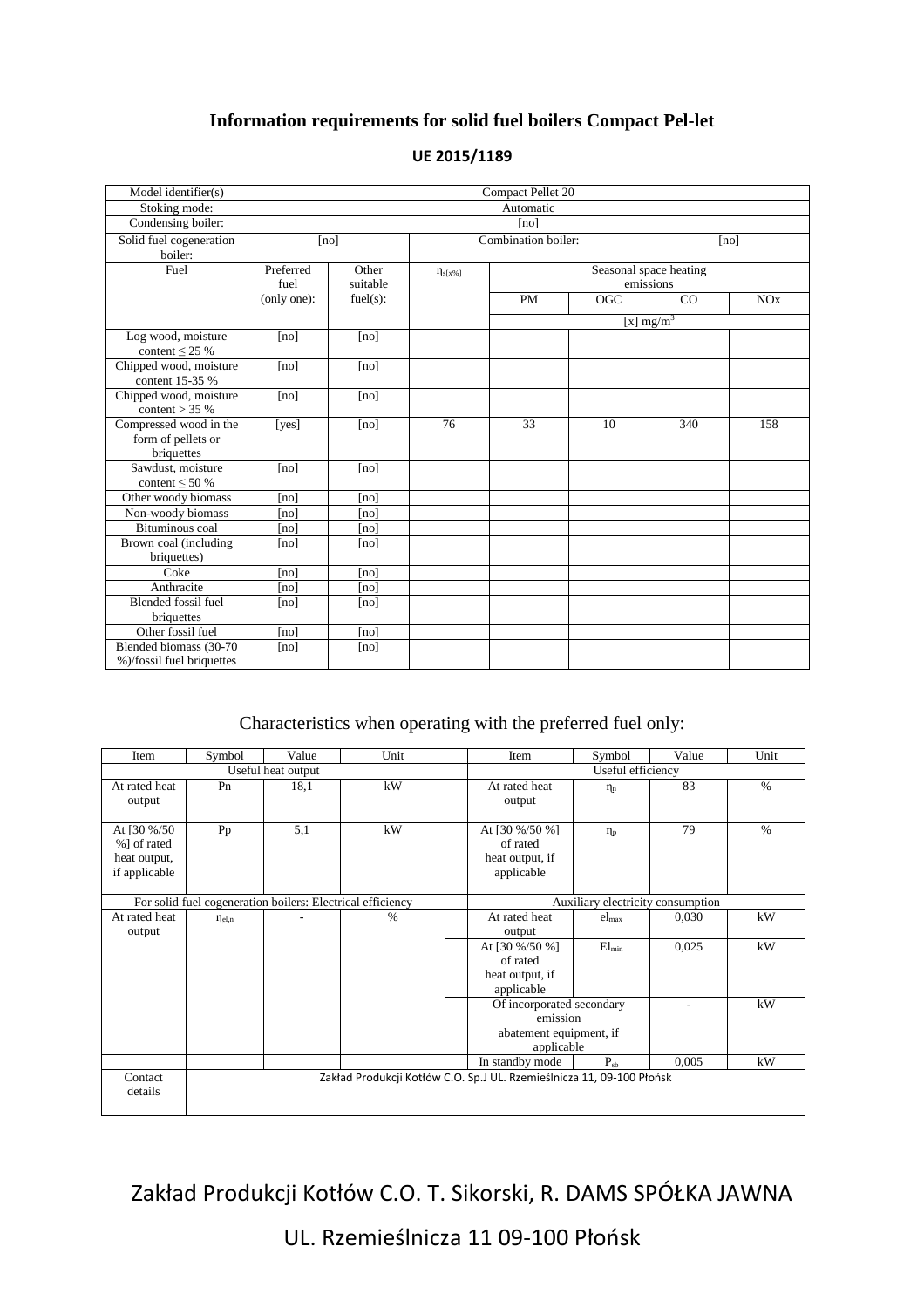## **Information requirements for solid fuel boilers Compact Pel-let**

| Model identifier(s)                                        | Compact Pellet 20                                         |          |                     |                                     |     |              |     |
|------------------------------------------------------------|-----------------------------------------------------------|----------|---------------------|-------------------------------------|-----|--------------|-----|
| Stoking mode:                                              | Automatic                                                 |          |                     |                                     |     |              |     |
| Condensing boiler:                                         | [no]                                                      |          |                     |                                     |     |              |     |
| Solid fuel cogeneration<br>boiler:                         | [no]                                                      |          | Combination boiler: |                                     |     | [no]         |     |
| Fuel                                                       | Preferred<br>Other<br>$\eta_{s[x\%]}$<br>suitable<br>fuel |          |                     | Seasonal space heating<br>emissions |     |              |     |
|                                                            | (only one):                                               | fuel(s): |                     | <b>PM</b>                           | OGC | CO           | NOx |
|                                                            |                                                           |          |                     |                                     |     | [x] $mg/m^3$ |     |
| Log wood, moisture<br>content $\leq$ 25 %                  | [no]                                                      | [no]     |                     |                                     |     |              |     |
| Chipped wood, moisture<br>content 15-35 %                  | [no]                                                      | [no]     |                     |                                     |     |              |     |
| Chipped wood, moisture<br>content $>$ 35 %                 | [no]                                                      | [no]     |                     |                                     |     |              |     |
| Compressed wood in the<br>form of pellets or<br>briquettes | [yes]                                                     | [no]     | 76                  | 33                                  | 10  | 340          | 158 |
| Sawdust, moisture<br>content $\leq 50\%$                   | [no]                                                      | [no]     |                     |                                     |     |              |     |
| Other woody biomass                                        | [no]                                                      | [no]     |                     |                                     |     |              |     |
| Non-woody biomass                                          | [no]                                                      | [no]     |                     |                                     |     |              |     |
| Bituminous coal                                            | [no]                                                      | [no]     |                     |                                     |     |              |     |
| Brown coal (including<br>briquettes)                       | [no]                                                      | [no]     |                     |                                     |     |              |     |
| Coke                                                       | [no]                                                      | [no]     |                     |                                     |     |              |     |
| Anthracite                                                 | [no]                                                      | [no]     |                     |                                     |     |              |     |
| <b>Blended fossil fuel</b><br>briquettes                   | [no]                                                      | [no]     |                     |                                     |     |              |     |
| Other fossil fuel                                          | [no]                                                      | [no]     |                     |                                     |     |              |     |
| Blended biomass (30-70<br>%)/fossil fuel briquettes        | [no]                                                      | [no]     |                     |                                     |     |              |     |

## **UE 2015/1189**

## Characteristics when operating with the preferred fuel only:

| Item                                                        | Symbol               | Value | Unit | Item                                                                           | Symbol            | Value | Unit          |  |
|-------------------------------------------------------------|----------------------|-------|------|--------------------------------------------------------------------------------|-------------------|-------|---------------|--|
| Useful heat output                                          |                      |       |      |                                                                                | Useful efficiency |       |               |  |
| At rated heat<br>output                                     | Pn                   | 18.1  | kW   | At rated heat<br>output                                                        | $\eta_n$          | 83    | $\frac{0}{0}$ |  |
| At [30 %/50<br>%] of rated<br>heat output,<br>if applicable | Pp                   | 5,1   | kW   | At [30 %/50 %]<br>of rated<br>heat output, if<br>applicable                    | $\eta_{\rm p}$    | 79    | $\frac{0}{0}$ |  |
| For solid fuel cogeneration boilers: Electrical efficiency  |                      |       |      | Auxiliary electricity consumption                                              |                   |       |               |  |
| At rated heat<br>output                                     | $\eta_{\text{el},n}$ |       | $\%$ | At rated heat<br>output                                                        | $el_{\text{max}}$ | 0,030 | kW            |  |
|                                                             |                      |       |      | At [30 %/50 %]<br>of rated<br>heat output, if<br>applicable                    | $El_{min}$        | 0,025 | kW            |  |
|                                                             |                      |       |      | Of incorporated secondary<br>emission<br>abatement equipment, if<br>applicable |                   |       | kW            |  |
|                                                             |                      |       |      | In standby mode                                                                | $P_{sh}$          | 0.005 | kW            |  |
| Contact<br>details                                          |                      |       |      | Zakład Produkcji Kotłów C.O. Sp.J UL. Rzemieślnicza 11, 09-100 Płońsk          |                   |       |               |  |

Zakład Produkcji Kotłów C.O. T. Sikorski, R. DAMS SPÓŁKA JAWNA

UL. Rzemieślnicza 11 09-100 Płońsk